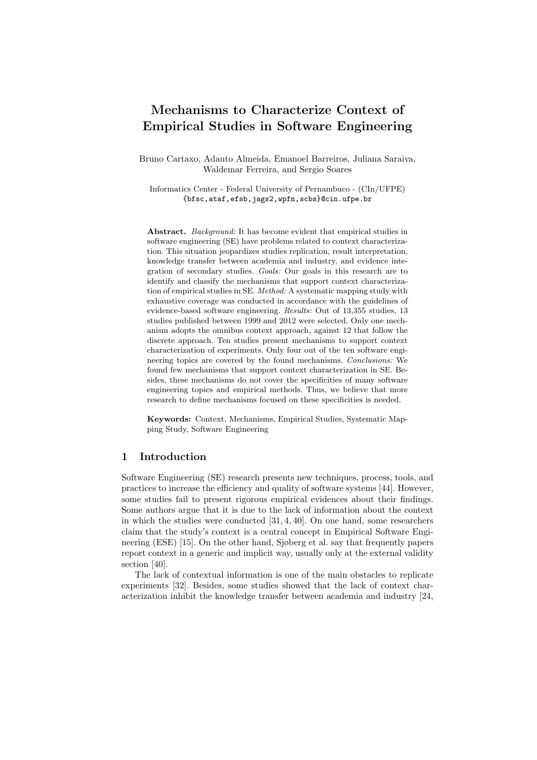# Mechanisms to Characterize Context of Empirical Studies in Software Engineering

Bruno Cartaxo, Adauto Almeida, Emanoel Barreiros, Juliana Saraiva, Waldemar Ferreira, and Sergio Soares

Informatics Center - Federal University of Pernambuco - (CIn/UFPE) {bfsc,ataf,efsb,jags2,wpfn,scbs}@cin.ufpe.br

Abstract. Background: It has become evident that empirical studies in software engineering (SE) have problems related to context characterization. This situation jeopardizes studies replication, result interpretation, knowledge transfer between academia and industry, and evidence integration of secondary studies. Goals: Our goals in this research are to identify and classify the mechanisms that support context characterization of empirical studies in SE. Method: A systematic mapping study with exhaustive coverage was conducted in accordance with the guidelines of evidence-based software engineering. Results: Out of 13,355 studies, 13 studies published between 1999 and 2012 were selected. Only one mechanism adopts the omnibus context approach, against 12 that follow the discrete approach. Ten studies present mechanisms to support context characterization of experiments. Only four out of the ten software engineering topics are covered by the found mechanisms. Conclusions: We found few mechanisms that support context characterization in SE. Besides, these mechanisms do not cover the specificities of many software engineering topics and empirical methods. Thus, we believe that more research to define mechanisms focused on these specificities is needed.

Keywords: Context, Mechanisms, Empirical Studies, Systematic Mapping Study, Software Engineering

## 1 Introduction

Software Engineering (SE) research presents new techniques, process, tools, and practices to increase the efficiency and quality of software systems [44]. However, some studies fail to present rigorous empirical evidences about their findings. Some authors argue that it is due to the lack of information about the context in which the studies were conducted [31, 4, 40]. On one hand, some researchers claim that the study's context is a central concept in Empirical Software Engineering (ESE) [15]. On the other hand, Sjøberg et al. say that frequently papers report context in a generic and implicit way, usually only at the external validity section [40].

The lack of contextual information is one of the main obstacles to replicate experiments [32]. Besides, some studies showed that the lack of context characterization inhibit the knowledge transfer between academia and industry [24,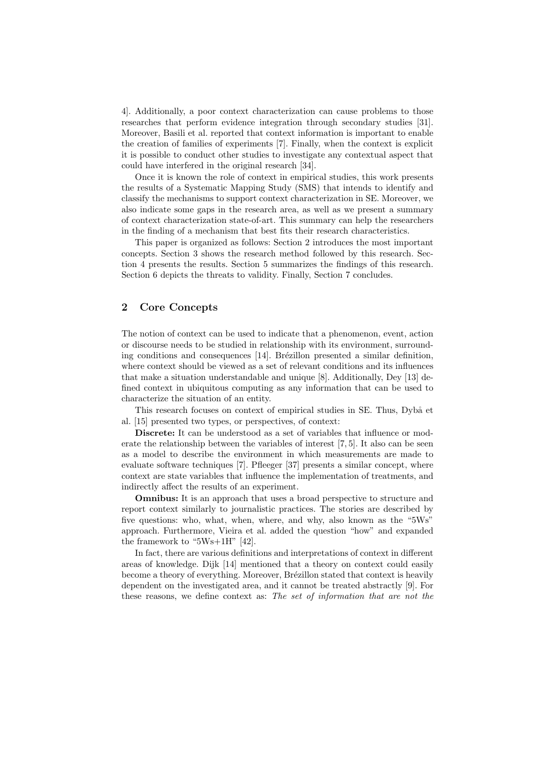4]. Additionally, a poor context characterization can cause problems to those researches that perform evidence integration through secondary studies [31]. Moreover, Basili et al. reported that context information is important to enable the creation of families of experiments [7]. Finally, when the context is explicit it is possible to conduct other studies to investigate any contextual aspect that could have interfered in the original research [34].

Once it is known the role of context in empirical studies, this work presents the results of a Systematic Mapping Study (SMS) that intends to identify and classify the mechanisms to support context characterization in SE. Moreover, we also indicate some gaps in the research area, as well as we present a summary of context characterization state-of-art. This summary can help the researchers in the finding of a mechanism that best fits their research characteristics.

This paper is organized as follows: Section 2 introduces the most important concepts. Section 3 shows the research method followed by this research. Section 4 presents the results. Section 5 summarizes the findings of this research. Section 6 depicts the threats to validity. Finally, Section 7 concludes.

## 2 Core Concepts

The notion of context can be used to indicate that a phenomenon, event, action or discourse needs to be studied in relationship with its environment, surrounding conditions and consequences  $[14]$ . Brézillon presented a similar definition, where context should be viewed as a set of relevant conditions and its influences that make a situation understandable and unique [8]. Additionally, Dey [13] defined context in ubiquitous computing as any information that can be used to characterize the situation of an entity.

This research focuses on context of empirical studies in SE. Thus, Dybå et al. [15] presented two types, or perspectives, of context:

Discrete: It can be understood as a set of variables that influence or moderate the relationship between the variables of interest [7, 5]. It also can be seen as a model to describe the environment in which measurements are made to evaluate software techniques [7]. Pfleeger [37] presents a similar concept, where context are state variables that influence the implementation of treatments, and indirectly affect the results of an experiment.

**Omnibus:** It is an approach that uses a broad perspective to structure and report context similarly to journalistic practices. The stories are described by five questions: who, what, when, where, and why, also known as the "5Ws" approach. Furthermore, Vieira et al. added the question "how" and expanded the framework to "5Ws+1H" [42].

In fact, there are various definitions and interpretations of context in different areas of knowledge. Dijk [14] mentioned that a theory on context could easily become a theory of everything. Moreover, Brézillon stated that context is heavily dependent on the investigated area, and it cannot be treated abstractly [9]. For these reasons, we define context as: The set of information that are not the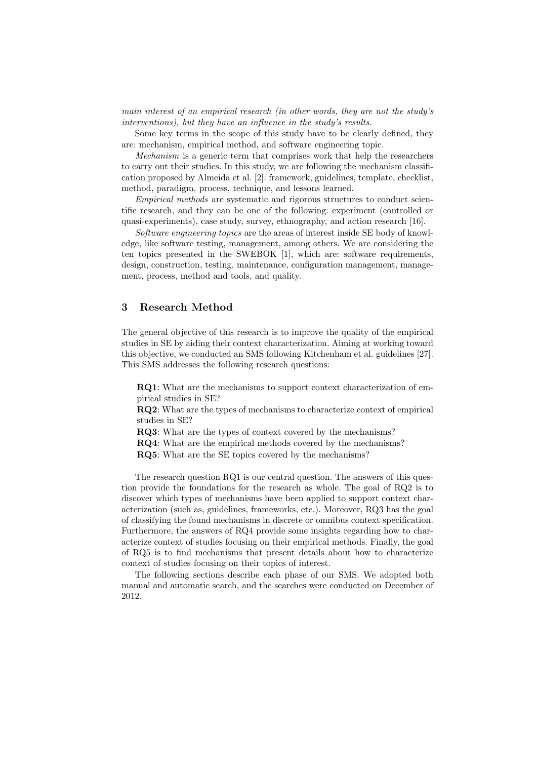main interest of an empirical research (in other words, they are not the study's interventions), but they have an influence in the study's results.

Some key terms in the scope of this study have to be clearly defined, they are: mechanism, empirical method, and software engineering topic.

Mechanism is a generic term that comprises work that help the researchers to carry out their studies. In this study, we are following the mechanism classification proposed by Almeida et al. [2]: framework, guidelines, template, checklist, method, paradigm, process, technique, and lessons learned.

Empirical methods are systematic and rigorous structures to conduct scientific research, and they can be one of the following: experiment (controlled or quasi-experiments), case study, survey, ethnography, and action research [16].

Software engineering topics are the areas of interest inside SE body of knowledge, like software testing, management, among others. We are considering the ten topics presented in the SWEBOK [1], which are: software requirements, design, construction, testing, maintenance, configuration management, management, process, method and tools, and quality.

## 3 Research Method

The general objective of this research is to improve the quality of the empirical studies in SE by aiding their context characterization. Aiming at working toward this objective, we conducted an SMS following Kitchenham et al. guidelines [27]. This SMS addresses the following research questions:

RQ1: What are the mechanisms to support context characterization of empirical studies in SE?

RQ2: What are the types of mechanisms to characterize context of empirical studies in SE?

RQ3: What are the types of context covered by the mechanisms?

RQ4: What are the empirical methods covered by the mechanisms?

RQ5: What are the SE topics covered by the mechanisms?

The research question RQ1 is our central question. The answers of this question provide the foundations for the research as whole. The goal of RQ2 is to discover which types of mechanisms have been applied to support context characterization (such as, guidelines, frameworks, etc.). Moreover, RQ3 has the goal of classifying the found mechanisms in discrete or omnibus context specification. Furthermore, the answers of RQ4 provide some insights regarding how to characterize context of studies focusing on their empirical methods. Finally, the goal of RQ5 is to find mechanisms that present details about how to characterize context of studies focusing on their topics of interest.

The following sections describe each phase of our SMS. We adopted both manual and automatic search, and the searches were conducted on December of 2012.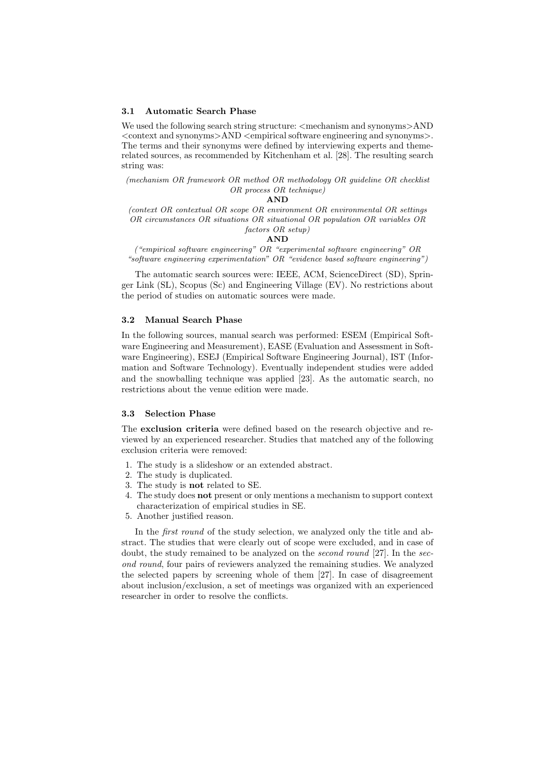#### 3.1 Automatic Search Phase

We used the following search string structure:  $\leq$  mechanism and synonyms $>\!AND$  $\leq$  context and synonyms $>$ AND  $\leq$ empirical software engineering and synonyms $>$ . The terms and their synonyms were defined by interviewing experts and themerelated sources, as recommended by Kitchenham et al. [28]. The resulting search string was:

(mechanism OR framework OR method OR methodology OR guideline OR checklist OR process OR technique)

#### AND

(context OR contextual OR scope OR environment OR environmental OR settings OR circumstances OR situations OR situational OR population OR variables OR factors OR setup)

#### AND

("empirical software engineering" OR "experimental software engineering" OR "software engineering experimentation" OR "evidence based software engineering")

The automatic search sources were: IEEE, ACM, ScienceDirect (SD), Springer Link (SL), Scopus (Sc) and Engineering Village (EV). No restrictions about the period of studies on automatic sources were made.

## 3.2 Manual Search Phase

In the following sources, manual search was performed: ESEM (Empirical Software Engineering and Measurement), EASE (Evaluation and Assessment in Software Engineering), ESEJ (Empirical Software Engineering Journal), IST (Information and Software Technology). Eventually independent studies were added and the snowballing technique was applied [23]. As the automatic search, no restrictions about the venue edition were made.

#### 3.3 Selection Phase

The exclusion criteria were defined based on the research objective and reviewed by an experienced researcher. Studies that matched any of the following exclusion criteria were removed:

- 1. The study is a slideshow or an extended abstract.
- 2. The study is duplicated.
- 3. The study is not related to SE.
- 4. The study does not present or only mentions a mechanism to support context characterization of empirical studies in SE.
- 5. Another justified reason.

In the *first round* of the study selection, we analyzed only the title and abstract. The studies that were clearly out of scope were excluded, and in case of doubt, the study remained to be analyzed on the second round [27]. In the second round, four pairs of reviewers analyzed the remaining studies. We analyzed the selected papers by screening whole of them [27]. In case of disagreement about inclusion/exclusion, a set of meetings was organized with an experienced researcher in order to resolve the conflicts.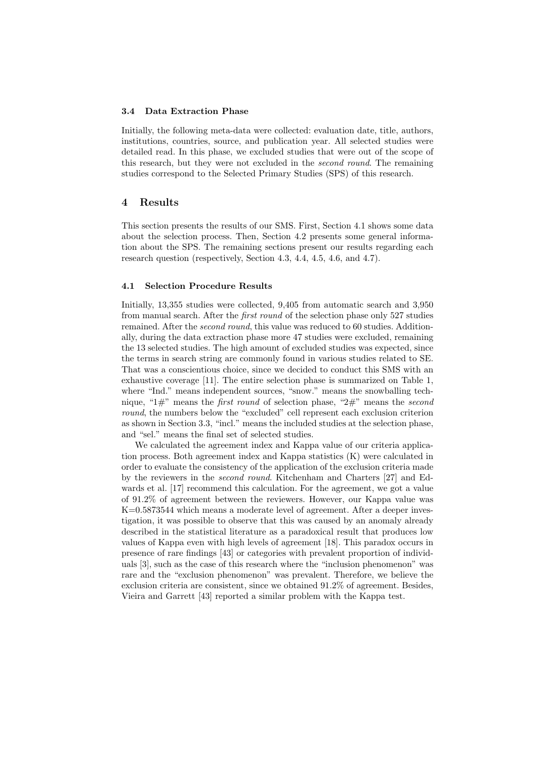#### 3.4 Data Extraction Phase

Initially, the following meta-data were collected: evaluation date, title, authors, institutions, countries, source, and publication year. All selected studies were detailed read. In this phase, we excluded studies that were out of the scope of this research, but they were not excluded in the second round. The remaining studies correspond to the Selected Primary Studies (SPS) of this research.

## 4 Results

This section presents the results of our SMS. First, Section 4.1 shows some data about the selection process. Then, Section 4.2 presents some general information about the SPS. The remaining sections present our results regarding each research question (respectively, Section 4.3, 4.4, 4.5, 4.6, and 4.7).

#### 4.1 Selection Procedure Results

Initially, 13,355 studies were collected, 9,405 from automatic search and 3,950 from manual search. After the first round of the selection phase only 527 studies remained. After the *second round*, this value was reduced to 60 studies. Additionally, during the data extraction phase more 47 studies were excluded, remaining the 13 selected studies. The high amount of excluded studies was expected, since the terms in search string are commonly found in various studies related to SE. That was a conscientious choice, since we decided to conduct this SMS with an exhaustive coverage [11]. The entire selection phase is summarized on Table 1, where "Ind." means independent sources, "snow." means the snowballing technique, "1#" means the *first round* of selection phase, "2#" means the *second* round, the numbers below the "excluded" cell represent each exclusion criterion as shown in Section 3.3, "incl." means the included studies at the selection phase, and "sel." means the final set of selected studies.

We calculated the agreement index and Kappa value of our criteria application process. Both agreement index and Kappa statistics (K) were calculated in order to evaluate the consistency of the application of the exclusion criteria made by the reviewers in the second round. Kitchenham and Charters [27] and Edwards et al. [17] recommend this calculation. For the agreement, we got a value of 91.2% of agreement between the reviewers. However, our Kappa value was K=0.5873544 which means a moderate level of agreement. After a deeper investigation, it was possible to observe that this was caused by an anomaly already described in the statistical literature as a paradoxical result that produces low values of Kappa even with high levels of agreement [18]. This paradox occurs in presence of rare findings [43] or categories with prevalent proportion of individuals [3], such as the case of this research where the "inclusion phenomenon" was rare and the "exclusion phenomenon" was prevalent. Therefore, we believe the exclusion criteria are consistent, since we obtained 91.2% of agreement. Besides, Vieira and Garrett [43] reported a similar problem with the Kappa test.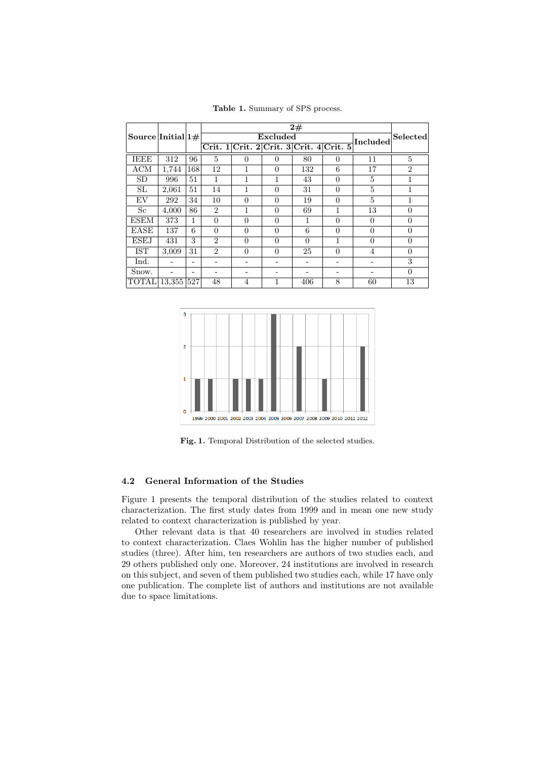Table 1. Summary of SPS process.

|                       |            |     |                             |                                         |          | 2#       |          |          |                |
|-----------------------|------------|-----|-----------------------------|-----------------------------------------|----------|----------|----------|----------|----------------|
| Source Initial $ 1# $ |            |     |                             |                                         | Excluded |          |          | Included | Selected       |
|                       |            |     |                             | Crit. 1 Crit. 2 Crit. 3 Crit. 4 Crit. 5 |          |          |          |          |                |
| <b>IEEE</b>           | 312        | 96  | $\overline{5}$              | $\Omega$                                | $\Omega$ | 80       | $\Omega$ | 11       | 5              |
| <b>ACM</b>            | 1,744      | 168 | 12                          |                                         | $\Omega$ | 132      | 6        | 17       | $\overline{2}$ |
| <b>SD</b>             | 996        | 51  | 1                           |                                         |          | 43       | $\Omega$ | 5        | 1              |
| SL                    | 2,061      | 51  | 14                          |                                         | $\Omega$ | 31       | $\theta$ | 5        |                |
| EV                    | 292        | 34  | 10                          | $\theta$                                | $\Omega$ | 19       | $\theta$ | 5        | 1              |
| <sub>Sc</sub>         | 4,000      | 86  | $\overline{2}$              |                                         | $\Omega$ | 69       | 1        | 13       | $\Omega$       |
| <b>ESEM</b>           | 373        | 1   | $\Omega$                    | $\Omega$                                | $\Omega$ |          | $\Omega$ | $\Omega$ | $\theta$       |
| <b>EASE</b>           | 137        | 6   | $\theta$                    | $\overline{0}$                          | $\theta$ | 6        | $\theta$ | $\theta$ | $\overline{0}$ |
| <b>ESEJ</b>           | 431        | 3   | $\mathcal{D}_{\mathcal{L}}$ | $\theta$                                | $\Omega$ | $\Omega$ | 1        | $\Omega$ | $\Omega$       |
| <b>IST</b>            | 3,009      | 31  | $\mathfrak{D}$              | $\theta$                                | $\Omega$ | 25       | $\theta$ | 4        | $\Omega$       |
| Ind.                  |            |     |                             |                                         |          |          |          |          | 3              |
| Snow.                 |            |     |                             |                                         |          |          |          |          | $\theta$       |
| <b>TOTAL</b>          | 13,355 527 |     | 48                          | $\overline{4}$                          | 1        | 406      | 8        | 60       | 13             |



Fig. 1. Temporal Distribution of the selected studies.

## 4.2 General Information of the Studies

Figure 1 presents the temporal distribution of the studies related to context characterization. The first study dates from 1999 and in mean one new study related to context characterization is published by year.

Other relevant data is that 40 researchers are involved in studies related to context characterization. Claes Wohlin has the higher number of published studies (three). After him, ten researchers are authors of two studies each, and 29 others published only one. Moreover, 24 institutions are involved in research on this subject, and seven of them published two studies each, while 17 have only one publication. The complete list of authors and institutions are not available due to space limitations.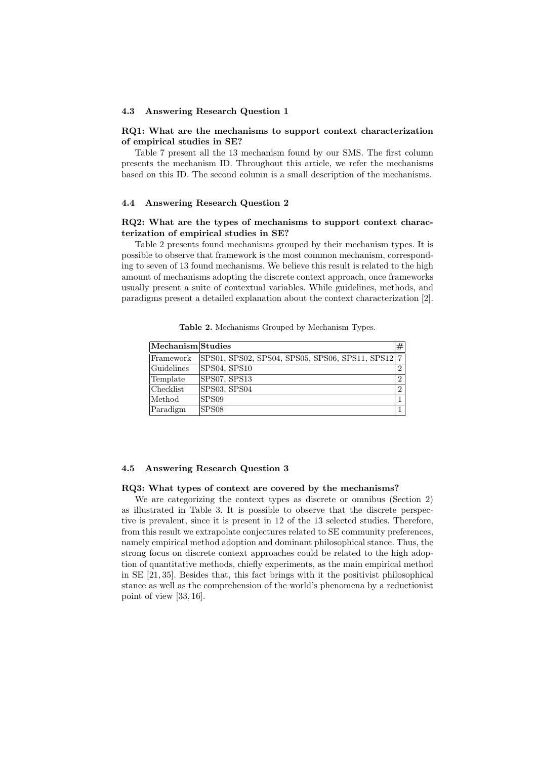#### 4.3 Answering Research Question 1

#### RQ1: What are the mechanisms to support context characterization of empirical studies in SE?

Table 7 present all the 13 mechanism found by our SMS. The first column presents the mechanism ID. Throughout this article, we refer the mechanisms based on this ID. The second column is a small description of the mechanisms.

## 4.4 Answering Research Question 2

## RQ2: What are the types of mechanisms to support context characterization of empirical studies in SE?

Table 2 presents found mechanisms grouped by their mechanism types. It is possible to observe that framework is the most common mechanism, corresponding to seven of 13 found mechanisms. We believe this result is related to the high amount of mechanisms adopting the discrete context approach, once frameworks usually present a suite of contextual variables. While guidelines, methods, and paradigms present a detailed explanation about the context characterization [2].

| Table 2. Mechanisms Grouped by Mechanism Types. |  |  |  |
|-------------------------------------------------|--|--|--|
|-------------------------------------------------|--|--|--|

| Mechanism Studies                |                                                   | #              |
|----------------------------------|---------------------------------------------------|----------------|
| Framework                        | SPS01, SPS02, SPS04, SPS05, SPS06, SPS11, SPS12 7 |                |
| $ $ Guidelines                   | SPS04, SPS10                                      | $\overline{2}$ |
| Template                         | SPS07, SPS13                                      | $\overline{2}$ |
| $ {\rm Checklist} $              | SPS03, SPS04                                      | $\overline{2}$ |
| $\operatorname{\mathsf{Method}}$ | SPS09                                             |                |
| Paradigm                         | SPS08                                             |                |

## 4.5 Answering Research Question 3

#### RQ3: What types of context are covered by the mechanisms?

We are categorizing the context types as discrete or omnibus (Section 2) as illustrated in Table 3. It is possible to observe that the discrete perspective is prevalent, since it is present in 12 of the 13 selected studies. Therefore, from this result we extrapolate conjectures related to SE community preferences, namely empirical method adoption and dominant philosophical stance. Thus, the strong focus on discrete context approaches could be related to the high adoption of quantitative methods, chiefly experiments, as the main empirical method in SE [21, 35]. Besides that, this fact brings with it the positivist philosophical stance as well as the comprehension of the world's phenomena by a reductionist point of view [33, 16].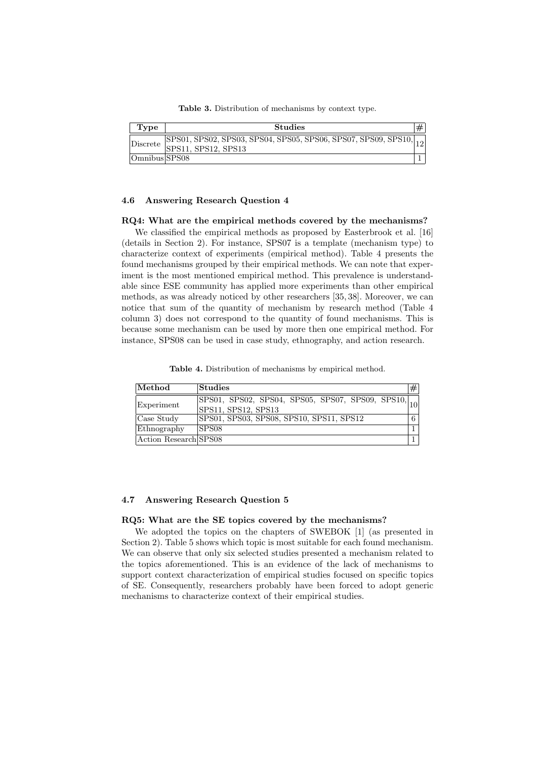Table 3. Distribution of mechanisms by context type.

| Type                     | <b>Studies</b>                                                                                            |  |
|--------------------------|-----------------------------------------------------------------------------------------------------------|--|
| $\vert$ Discrete $\vert$ | $\overline{SPS01, SPS02, SPS03, SPS04, SPS05, SPS06, SPS07, SPS09, SPS10,  _{12}}$<br>SPS11, SPS12, SPS13 |  |
| Omnibus SPS08            |                                                                                                           |  |

#### 4.6 Answering Research Question 4

#### RQ4: What are the empirical methods covered by the mechanisms?

We classified the empirical methods as proposed by Easterbrook et al. [16] (details in Section 2). For instance, SPS07 is a template (mechanism type) to characterize context of experiments (empirical method). Table 4 presents the found mechanisms grouped by their empirical methods. We can note that experiment is the most mentioned empirical method. This prevalence is understandable since ESE community has applied more experiments than other empirical methods, as was already noticed by other researchers [35, 38]. Moreover, we can notice that sum of the quantity of mechanism by research method (Table 4 column 3) does not correspond to the quantity of found mechanisms. This is because some mechanism can be used by more then one empirical method. For instance, SPS08 can be used in case study, ethnography, and action research.

Table 4. Distribution of mechanisms by empirical method.

| $\boldsymbol{\mathrm{Method}}$ | $\boldsymbol{\mathsf{Studies}}$                                                                                    | # |
|--------------------------------|--------------------------------------------------------------------------------------------------------------------|---|
| Experiment                     | $[\overline{\text{SPS01, SPS02, SPS04, SPS05, SPS07, SPS09, SPS10}}, \textcolor{red}{}]10}$<br>SPS11, SPS12, SPS13 |   |
| Case Study                     | SPS01, SPS03, SPS08, SPS10, SPS11, SPS12                                                                           | 6 |
| Ethnography                    | SPS08                                                                                                              |   |
| Action Research SPS08          |                                                                                                                    |   |

#### 4.7 Answering Research Question 5

#### RQ5: What are the SE topics covered by the mechanisms?

We adopted the topics on the chapters of SWEBOK [1] (as presented in Section 2). Table 5 shows which topic is most suitable for each found mechanism. We can observe that only six selected studies presented a mechanism related to the topics aforementioned. This is an evidence of the lack of mechanisms to support context characterization of empirical studies focused on specific topics of SE. Consequently, researchers probably have been forced to adopt generic mechanisms to characterize context of their empirical studies.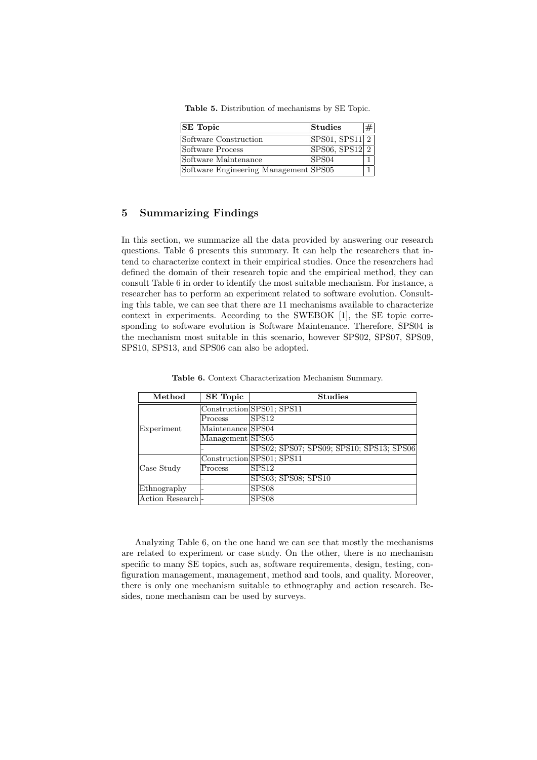Table 5. Distribution of mechanisms by SE Topic.

| <b>SE</b> Topic                       | Studies                     | # |
|---------------------------------------|-----------------------------|---|
| Software Construction                 | SPS01, SPS11 2              |   |
| Software Process                      | $SPS06, SPS12$ <sub>2</sub> |   |
| Software Maintenance                  | SPS04                       |   |
| Software Engineering Management SPS05 |                             |   |

## 5 Summarizing Findings

In this section, we summarize all the data provided by answering our research questions. Table 6 presents this summary. It can help the researchers that intend to characterize context in their empirical studies. Once the researchers had defined the domain of their research topic and the empirical method, they can consult Table 6 in order to identify the most suitable mechanism. For instance, a researcher has to perform an experiment related to software evolution. Consulting this table, we can see that there are 11 mechanisms available to characterize context in experiments. According to the SWEBOK [1], the SE topic corresponding to software evolution is Software Maintenance. Therefore, SPS04 is the mechanism most suitable in this scenario, however SPS02, SPS07, SPS09, SPS10, SPS13, and SPS06 can also be adopted.

| Method           | <b>SE Topic</b>   | <b>Studies</b>                           |
|------------------|-------------------|------------------------------------------|
|                  |                   | Construction SPS01; SPS11                |
|                  | Process           | SPS <sub>12</sub>                        |
| Experiment       | Maintenance SPS04 |                                          |
|                  | Management SPS05  |                                          |
|                  |                   | SPS02; SPS07; SPS09; SPS10; SPS13; SPS06 |
|                  |                   | Construction SPS01; SPS11                |
| Case Study       | Process           | SPS <sub>12</sub>                        |
|                  |                   | SPS03; SPS08; SPS10                      |
| Ethnography      |                   | SPS <sub>08</sub>                        |
| Action Research- |                   | SPS <sub>08</sub>                        |

Table 6. Context Characterization Mechanism Summary.

Analyzing Table 6, on the one hand we can see that mostly the mechanisms are related to experiment or case study. On the other, there is no mechanism specific to many SE topics, such as, software requirements, design, testing, configuration management, management, method and tools, and quality. Moreover, there is only one mechanism suitable to ethnography and action research. Besides, none mechanism can be used by surveys.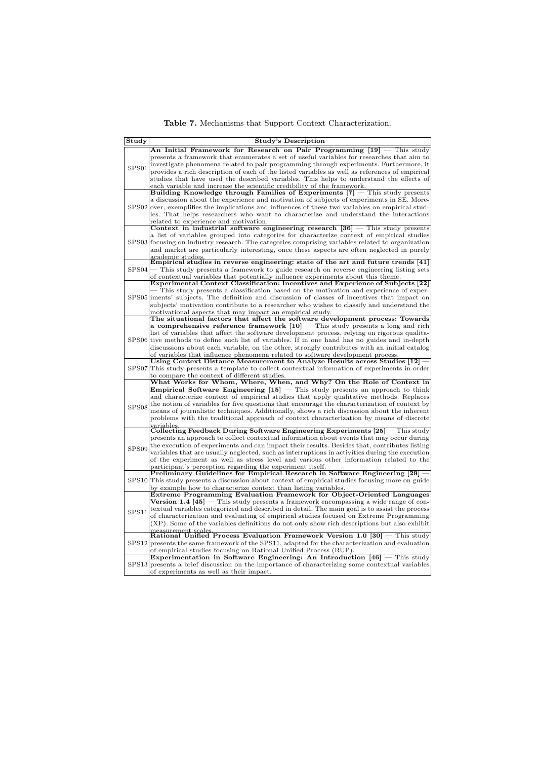Table 7. Mechanisms that Support Context Characterization.

| Study             | <b>Study's Description</b>                                                                                                                                        |
|-------------------|-------------------------------------------------------------------------------------------------------------------------------------------------------------------|
|                   | An Initial Framework for Research on Pair Programming $[19]$ – This study                                                                                         |
|                   | presents a framework that enumerates a set of useful variables for researches that aim to                                                                         |
| SPS <sub>01</sub> | investigate phenomena related to pair programming through experiments. Furthermore, it                                                                            |
|                   | provides a rich description of each of the listed variables as well as references of empirical                                                                    |
|                   | studies that have used the described variables. This helps to understand the effects of                                                                           |
|                   | each variable and increase the scientific credibility of the framework.                                                                                           |
|                   | Building Knowledge through Families of Experiments [7] - This study presents                                                                                      |
|                   | a discussion about the experience and motivation of subjects of experiments in SE. More-                                                                          |
|                   | $SPS02 over$ , exemplifies the implications and influences of these two variables on empirical stud-                                                              |
|                   | ies. That helps researchers who want to characterize and understand the interactions                                                                              |
|                   | related to experience and motivation.<br>Context in industrial software engineering research $[36]$ – This study presents                                         |
|                   | a list of variables grouped into categories for characterize context of empirical studies                                                                         |
|                   | SPS03 focusing on industry research. The categories comprising variables related to organization                                                                  |
|                   | and market are particularly interesting, once these aspects are often neglected in purely                                                                         |
|                   | academic studies.                                                                                                                                                 |
|                   | Empirical studies in reverse engineering: state of the art and future trends [41]                                                                                 |
| SPS04             | - This study presents a framework to guide research on reverse engineering listing sets                                                                           |
|                   | of contextual variables that potentially influence experiments about this theme.                                                                                  |
|                   | Experimental Context Classification: Incentives and Experience of Subjects [22]                                                                                   |
|                   | This study presents a classification based on the motivation and experience of exper-                                                                             |
|                   | SPS05 liments' subjects. The definition and discussion of classes of incentives that impact on                                                                    |
|                   | subjects' motivation contribute to a researcher who wishes to classify and understand the                                                                         |
|                   | motivational aspects that may impact an empirical study.                                                                                                          |
|                   | The situational factors that affect the software development process: Towards<br>a comprehensive reference framework $[10]$ – This study presents a long and rich |
|                   | list of variables that affect the software development process, relying on rigorous qualita-                                                                      |
| SPS <sub>06</sub> | tive methods to define such list of variables. If in one hand has no guides and in-depth                                                                          |
|                   | discussions about each variable, on the other, strongly contributes with an initial catalog                                                                       |
|                   | of variables that influence phenomena related to software development process.                                                                                    |
|                   | Using Context Distance Measurement to Analyze Results across Studies [12] -                                                                                       |
| SPS07             | This study presents a template to collect contextual information of experiments in order                                                                          |
|                   | to compare the context of different studies.                                                                                                                      |
|                   | What Works for Whom, Where, When, and Why? On the Role of Context in                                                                                              |
|                   | <b>Empirical Software Engineering <math>[15]</math></b> – This study presents an approach to think                                                                |
|                   | and characterize context of empirical studies that apply qualitative methods. Replaces                                                                            |
| SPS08             | the notion of variables for five questions that encourage the characterization of context by                                                                      |
|                   | means of journalistic techniques. Additionally, shows a rich discussion about the inherent                                                                        |
|                   | problems with the traditional approach of context characterization by means of discrete                                                                           |
|                   | variables.<br>Collecting Feedback During Software Engineering Experiments $[25]$ – This study                                                                     |
|                   | presents an approach to collect contextual information about events that may occur during                                                                         |
|                   | the execution of experiments and can impact their results. Besides that, contributes listing                                                                      |
| SPS09             | variables that are usually neglected, such as interruptions in activities during the execution                                                                    |
|                   | of the experiment as well as stress level and various other information related to the                                                                            |
|                   | participant's perception regarding the experiment itself.                                                                                                         |
|                   | Preliminary Guidelines for Empirical Research in Software Engineering [29] -                                                                                      |
| SPS10             | This study presents a discussion about context of empirical studies focusing more on guide                                                                        |
|                   | by example how to characterize context than listing variables.                                                                                                    |
|                   | Extreme Programming Evaluation Framework for Object-Oriented Languages                                                                                            |
| SPS <sub>11</sub> | <b>Version 1.4</b> $[45]$ – This study presents a framework encompassing a wide range of con-                                                                     |
|                   | textual variables categorized and described in detail. The main goal is to assist the process                                                                     |
|                   | of characterization and evaluating of empirical studies focused on Extreme Programming                                                                            |
|                   | (XP). Some of the variables definitions do not only show rich descriptions but also exhibit                                                                       |
|                   | measurement scales.<br>Rational Unified Process Evaluation Framework Version $1.0\;[30]$ – This study                                                             |
| SPS12             | presents the same framework of the SPS11, adapted for the characterization and evaluation                                                                         |
|                   | of empirical studies focusing on Rational Unified Process (RUP).                                                                                                  |
|                   | Experimentation in Software Engineering: An Introduction $[46]$ – This study                                                                                      |
| SPS <sub>13</sub> | presents a brief discussion on the importance of characterizing some contextual variables                                                                         |
|                   | of experiments as well as their impact.                                                                                                                           |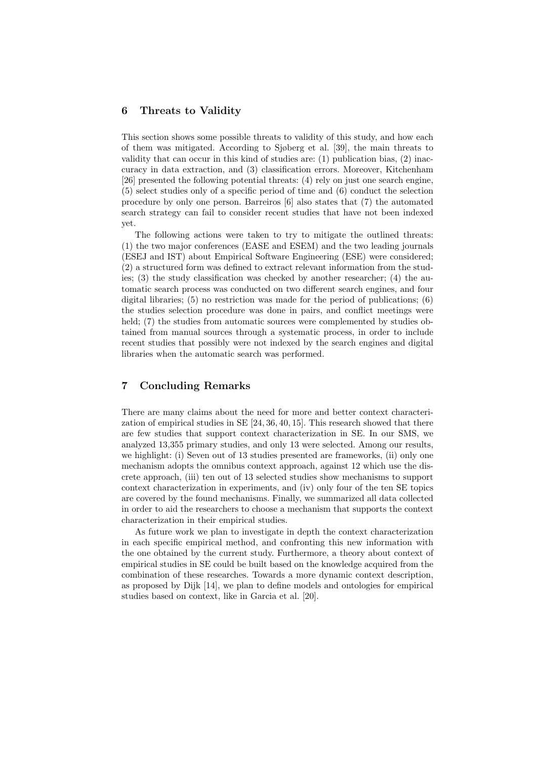## 6 Threats to Validity

This section shows some possible threats to validity of this study, and how each of them was mitigated. According to Sjøberg et al. [39], the main threats to validity that can occur in this kind of studies are: (1) publication bias, (2) inaccuracy in data extraction, and (3) classification errors. Moreover, Kitchenham [26] presented the following potential threats: (4) rely on just one search engine, (5) select studies only of a specific period of time and (6) conduct the selection procedure by only one person. Barreiros [6] also states that (7) the automated search strategy can fail to consider recent studies that have not been indexed yet.

The following actions were taken to try to mitigate the outlined threats: (1) the two major conferences (EASE and ESEM) and the two leading journals (ESEJ and IST) about Empirical Software Engineering (ESE) were considered; (2) a structured form was defined to extract relevant information from the studies; (3) the study classification was checked by another researcher; (4) the automatic search process was conducted on two different search engines, and four digital libraries; (5) no restriction was made for the period of publications; (6) the studies selection procedure was done in pairs, and conflict meetings were held; (7) the studies from automatic sources were complemented by studies obtained from manual sources through a systematic process, in order to include recent studies that possibly were not indexed by the search engines and digital libraries when the automatic search was performed.

## 7 Concluding Remarks

There are many claims about the need for more and better context characterization of empirical studies in SE [24, 36, 40, 15]. This research showed that there are few studies that support context characterization in SE. In our SMS, we analyzed 13,355 primary studies, and only 13 were selected. Among our results, we highlight: (i) Seven out of 13 studies presented are frameworks, (ii) only one mechanism adopts the omnibus context approach, against 12 which use the discrete approach, (iii) ten out of 13 selected studies show mechanisms to support context characterization in experiments, and (iv) only four of the ten SE topics are covered by the found mechanisms. Finally, we summarized all data collected in order to aid the researchers to choose a mechanism that supports the context characterization in their empirical studies.

As future work we plan to investigate in depth the context characterization in each specific empirical method, and confronting this new information with the one obtained by the current study. Furthermore, a theory about context of empirical studies in SE could be built based on the knowledge acquired from the combination of these researches. Towards a more dynamic context description, as proposed by Dijk [14], we plan to define models and ontologies for empirical studies based on context, like in Garcia et al. [20].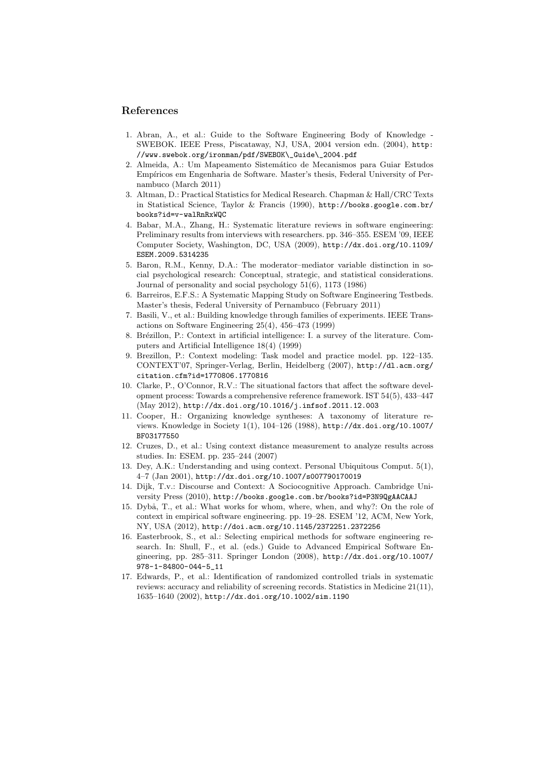## References

- 1. Abran, A., et al.: Guide to the Software Engineering Body of Knowledge SWEBOK. IEEE Press, Piscataway, NJ, USA, 2004 version edn. (2004), http: //www.swebok.org/ironman/pdf/SWEBOK\\_Guide\\_2004.pdf
- 2. Almeida, A.: Um Mapeamento Sistemático de Mecanismos para Guiar Estudos Empíricos em Engenharia de Software. Master's thesis, Federal University of Pernambuco (March 2011)
- 3. Altman, D.: Practical Statistics for Medical Research. Chapman & Hall/CRC Texts in Statistical Science, Taylor & Francis (1990), http://books.google.com.br/ books?id=v-walRnRxWQC
- 4. Babar, M.A., Zhang, H.: Systematic literature reviews in software engineering: Preliminary results from interviews with researchers. pp. 346–355. ESEM '09, IEEE Computer Society, Washington, DC, USA (2009), http://dx.doi.org/10.1109/ ESEM.2009.5314235
- 5. Baron, R.M., Kenny, D.A.: The moderator–mediator variable distinction in social psychological research: Conceptual, strategic, and statistical considerations. Journal of personality and social psychology 51(6), 1173 (1986)
- 6. Barreiros, E.F.S.: A Systematic Mapping Study on Software Engineering Testbeds. Master's thesis, Federal University of Pernambuco (February 2011)
- 7. Basili, V., et al.: Building knowledge through families of experiments. IEEE Transactions on Software Engineering 25(4), 456–473 (1999)
- 8. Brézillon, P.: Context in artificial intelligence: I. a survey of the literature. Computers and Artificial Intelligence 18(4) (1999)
- 9. Brezillon, P.: Context modeling: Task model and practice model. pp. 122–135. CONTEXT'07, Springer-Verlag, Berlin, Heidelberg (2007), http://dl.acm.org/ citation.cfm?id=1770806.1770816
- 10. Clarke, P., O'Connor, R.V.: The situational factors that affect the software development process: Towards a comprehensive reference framework. IST 54(5), 433–447 (May 2012), http://dx.doi.org/10.1016/j.infsof.2011.12.003
- 11. Cooper, H.: Organizing knowledge syntheses: A taxonomy of literature reviews. Knowledge in Society 1(1), 104–126 (1988), http://dx.doi.org/10.1007/ BF03177550
- 12. Cruzes, D., et al.: Using context distance measurement to analyze results across studies. In: ESEM. pp. 235–244 (2007)
- 13. Dey, A.K.: Understanding and using context. Personal Ubiquitous Comput. 5(1), 4–7 (Jan 2001), http://dx.doi.org/10.1007/s007790170019
- 14. Dijk, T.v.: Discourse and Context: A Sociocognitive Approach. Cambridge University Press (2010), http://books.google.com.br/books?id=P3N9QgAACAAJ
- 15. Dybå, T., et al.: What works for whom, where, when, and why?: On the role of context in empirical software engineering. pp. 19–28. ESEM '12, ACM, New York, NY, USA (2012), http://doi.acm.org/10.1145/2372251.2372256
- 16. Easterbrook, S., et al.: Selecting empirical methods for software engineering research. In: Shull, F., et al. (eds.) Guide to Advanced Empirical Software Engineering, pp. 285–311. Springer London (2008), http://dx.doi.org/10.1007/ 978-1-84800-044-5\_11
- 17. Edwards, P., et al.: Identification of randomized controlled trials in systematic reviews: accuracy and reliability of screening records. Statistics in Medicine 21(11), 1635–1640 (2002), http://dx.doi.org/10.1002/sim.1190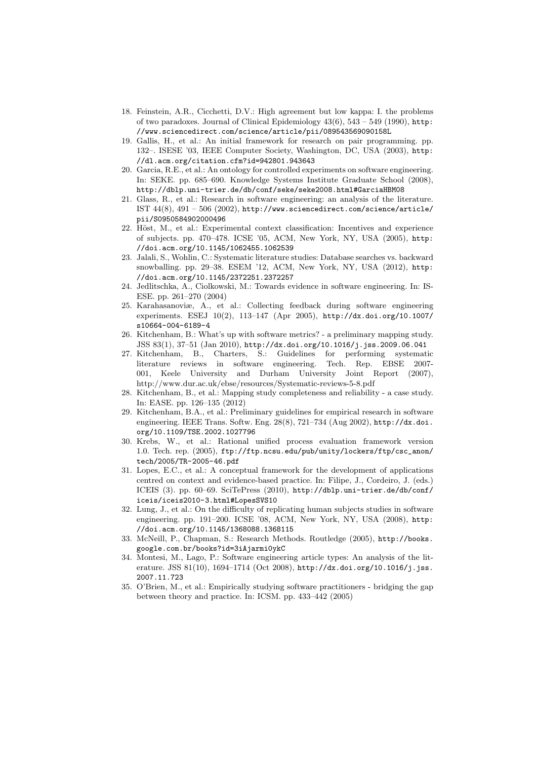- 18. Feinstein, A.R., Cicchetti, D.V.: High agreement but low kappa: I. the problems of two paradoxes. Journal of Clinical Epidemiology  $43(6)$ ,  $543 - 549$  (1990), http: //www.sciencedirect.com/science/article/pii/089543569090158L
- 19. Gallis, H., et al.: An initial framework for research on pair programming. pp. 132–. ISESE '03, IEEE Computer Society, Washington, DC, USA (2003), http: //dl.acm.org/citation.cfm?id=942801.943643
- 20. Garcia, R.E., et al.: An ontology for controlled experiments on software engineering. In: SEKE. pp. 685–690. Knowledge Systems Institute Graduate School (2008), http://dblp.uni-trier.de/db/conf/seke/seke2008.html#GarciaHBM08
- 21. Glass, R., et al.: Research in software engineering: an analysis of the literature. IST  $44(8)$ ,  $491 - 506$   $(2002)$ , http://www.sciencedirect.com/science/article/ pii/S0950584902000496
- 22. Höst, M., et al.: Experimental context classification: Incentives and experience of subjects. pp. 470–478. ICSE '05, ACM, New York, NY, USA (2005), http: //doi.acm.org/10.1145/1062455.1062539
- 23. Jalali, S., Wohlin, C.: Systematic literature studies: Database searches vs. backward snowballing. pp. 29–38. ESEM '12, ACM, New York, NY, USA (2012), http: //doi.acm.org/10.1145/2372251.2372257
- 24. Jedlitschka, A., Ciolkowski, M.: Towards evidence in software engineering. In: IS-ESE. pp. 261–270 (2004)
- 25. Karahasanoviæ, A., et al.: Collecting feedback during software engineering experiments. ESEJ 10(2), 113–147 (Apr 2005), http://dx.doi.org/10.1007/ s10664-004-6189-4
- 26. Kitchenham, B.: What's up with software metrics? a preliminary mapping study. JSS 83(1), 37–51 (Jan 2010), http://dx.doi.org/10.1016/j.jss.2009.06.041
- 27. Kitchenham, B., Charters, S.: Guidelines for performing systematic literature reviews in software engineering. Tech. Rep. EBSE 2007- 001, Keele University and Durham University Joint Report (2007), http://www.dur.ac.uk/ebse/resources/Systematic-reviews-5-8.pdf
- 28. Kitchenham, B., et al.: Mapping study completeness and reliability a case study. In: EASE. pp. 126–135 (2012)
- 29. Kitchenham, B.A., et al.: Preliminary guidelines for empirical research in software engineering. IEEE Trans. Softw. Eng. 28(8), 721–734 (Aug 2002), http://dx.doi. org/10.1109/TSE.2002.1027796
- 30. Krebs, W., et al.: Rational unified process evaluation framework version 1.0. Tech. rep. (2005), ftp://ftp.ncsu.edu/pub/unity/lockers/ftp/csc\_anon/ tech/2005/TR-2005-46.pdf
- 31. Lopes, E.C., et al.: A conceptual framework for the development of applications centred on context and evidence-based practice. In: Filipe, J., Cordeiro, J. (eds.) ICEIS (3). pp. 60–69. SciTePress (2010), http://dblp.uni-trier.de/db/conf/ iceis/iceis2010-3.html#LopesSVS10
- 32. Lung, J., et al.: On the difficulty of replicating human subjects studies in software engineering. pp. 191–200. ICSE '08, ACM, New York, NY, USA (2008), http: //doi.acm.org/10.1145/1368088.1368115
- 33. McNeill, P., Chapman, S.: Research Methods. Routledge (2005), http://books. google.com.br/books?id=3iAjarmi0ykC
- 34. Montesi, M., Lago, P.: Software engineering article types: An analysis of the literature. JSS 81(10), 1694–1714 (Oct 2008), http://dx.doi.org/10.1016/j.jss. 2007.11.723
- 35. O'Brien, M., et al.: Empirically studying software practitioners bridging the gap between theory and practice. In: ICSM. pp. 433–442 (2005)